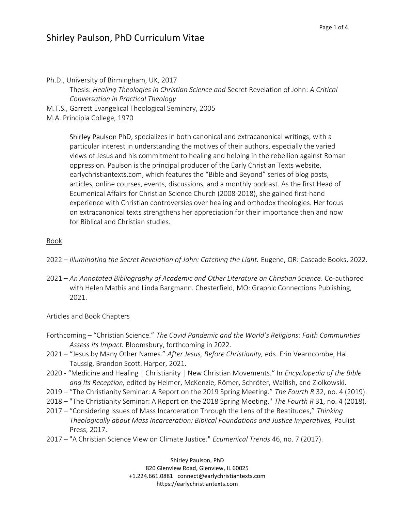## Shirley Paulson, PhD Curriculum Vitae

Ph.D., University of Birmingham, UK, 2017 Thesis: Healing Theologies in Christian Science and Secret Revelation of John: A Critical Conversation in Practical Theology M.T.S., Garrett Evangelical Theological Seminary, 2005

M.A. Principia College, 1970

Shirley Paulson PhD, specializes in both canonical and extracanonical writings, with a particular interest in understanding the motives of their authors, especially the varied views of Jesus and his commitment to healing and helping in the rebellion against Roman oppression. Paulson is the principal producer of the Early Christian Texts website, earlychristiantexts.com, which features the "Bible and Beyond" series of blog posts, articles, online courses, events, discussions, and a monthly podcast. As the first Head of Ecumenical Affairs for Christian Science Church (2008-2018), she gained first-hand experience with Christian controversies over healing and orthodox theologies. Her focus on extracanonical texts strengthens her appreciation for their importance then and now for Biblical and Christian studies.

### Book

- 2022 Illuminating the Secret Revelation of John: Catching the Light. Eugene, OR: Cascade Books, 2022.
- 2021 An Annotated Bibliography of Academic and Other Literature on Christian Science. Co-authored with Helen Mathis and Linda Bargmann. Chesterfield, MO: Graphic Connections Publishing, 2021.

### Articles and Book Chapters

- Forthcoming "Christian Science." The Covid Pandemic and the World's Religions: Faith Communities Assess its Impact. Bloomsbury, forthcoming in 2022.
- 2021 "Jesus by Many Other Names." After Jesus, Before Christianity, eds. Erin Vearncombe, Hal Taussig, Brandon Scott. Harper, 2021.
- 2020 "Medicine and Healing | Christianity | New Christian Movements." In *Encyclopedia of the Bible* and Its Reception, edited by Helmer, McKenzie, Römer, Schröter, Walfish, and Ziolkowski.
- 2019 "The Christianity Seminar: A Report on the 2019 Spring Meeting." The Fourth R 32, no. 4 (2019).
- 2018 "The Christianity Seminar: A Report on the 2018 Spring Meeting." The Fourth R 31, no. 4 (2018).
- 2017 "Considering Issues of Mass Incarceration Through the Lens of the Beatitudes," Thinking Theologically about Mass Incarceration: Biblical Foundations and Justice Imperatives, Paulist Press, 2017.
- 2017 "A Christian Science View on Climate Justice." Ecumenical Trends 46, no. 7 (2017).

Shirley Paulson, PhD 820 Glenview Road, Glenview, IL 60025 +1.224.661.0881 connect@earlychristiantexts.com https://earlychristiantexts.com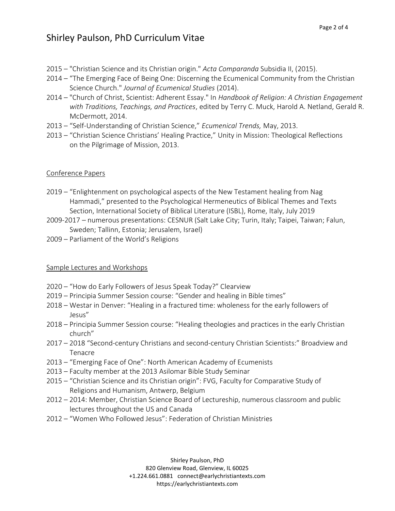- 2015 "Christian Science and its Christian origin." Acta Comparanda Subsidia II, (2015).
- 2014 "The Emerging Face of Being One: Discerning the Ecumenical Community from the Christian Science Church." Journal of Ecumenical Studies (2014).
- 2014 "Church of Christ, Scientist: Adherent Essay." In Handbook of Religion: A Christian Engagement with Traditions, Teachings, and Practices, edited by Terry C. Muck, Harold A. Netland, Gerald R. McDermott, 2014.
- 2013 "Self-Understanding of Christian Science," Ecumenical Trends, May, 2013.
- 2013 "Christian Science Christians' Healing Practice," Unity in Mission: Theological Reflections on the Pilgrimage of Mission, 2013.

### Conference Papers

- 2019 "Enlightenment on psychological aspects of the New Testament healing from Nag Hammadi," presented to the Psychological Hermeneutics of Biblical Themes and Texts Section, International Society of Biblical Literature (ISBL), Rome, Italy, July 2019
- 2009-2017 numerous presentations: CESNUR (Salt Lake City; Turin, Italy; Taipei, Taiwan; Falun, Sweden; Tallinn, Estonia; Jerusalem, Israel)
- 2009 Parliament of the World's Religions

### Sample Lectures and Workshops

- 2020 "How do Early Followers of Jesus Speak Today?" Clearview
- 2019 Principia Summer Session course: "Gender and healing in Bible times"
- 2018 Westar in Denver: "Healing in a fractured time: wholeness for the early followers of Jesus"
- 2018 Principia Summer Session course: "Healing theologies and practices in the early Christian church"
- 2017 2018 "Second-century Christians and second-century Christian Scientists:" Broadview and Tenacre
- 2013 "Emerging Face of One": North American Academy of Ecumenists
- 2013 Faculty member at the 2013 Asilomar Bible Study Seminar
- 2015 "Christian Science and its Christian origin": FVG, Faculty for Comparative Study of Religions and Humanism, Antwerp, Belgium
- 2012 2014: Member, Christian Science Board of Lectureship, numerous classroom and public lectures throughout the US and Canada
- 2012 "Women Who Followed Jesus": Federation of Christian Ministries

Shirley Paulson, PhD 820 Glenview Road, Glenview, IL 60025 +1.224.661.0881 connect@earlychristiantexts.com https://earlychristiantexts.com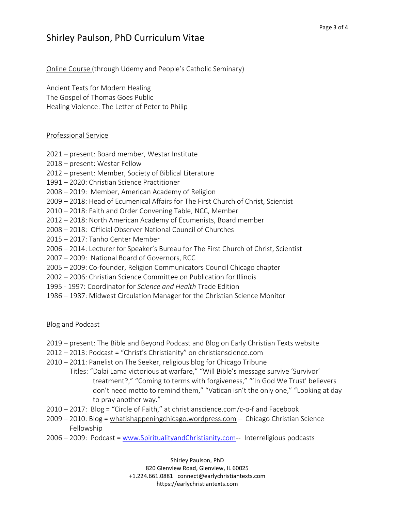## Shirley Paulson, PhD Curriculum Vitae

Online Course (through Udemy and People's Catholic Seminary)

Ancient Texts for Modern Healing The Gospel of Thomas Goes Public Healing Violence: The Letter of Peter to Philip

### Professional Service

- 2021 present: Board member, Westar Institute
- 2018 present: Westar Fellow
- 2012 present: Member, Society of Biblical Literature
- 1991 2020: Christian Science Practitioner
- 2008 2019: Member, American Academy of Religion
- 2009 2018: Head of Ecumenical Affairs for The First Church of Christ, Scientist
- 2010 2018: Faith and Order Convening Table, NCC, Member
- 2012 2018: North American Academy of Ecumenists, Board member
- 2008 2018: Official Observer National Council of Churches
- 2015 2017: Tanho Center Member
- 2006 2014: Lecturer for Speaker's Bureau for The First Church of Christ, Scientist
- 2007 2009: National Board of Governors, RCC
- 2005 2009: Co-founder, Religion Communicators Council Chicago chapter
- 2002 2006: Christian Science Committee on Publication for Illinois
- 1995 1997: Coordinator for Science and Health Trade Edition
- 1986 1987: Midwest Circulation Manager for the Christian Science Monitor

### Blog and Podcast

- 2019 present: The Bible and Beyond Podcast and Blog on Early Christian Texts website
- 2012 2013: Podcast = "Christ's Christianity" on christianscience.com
- 2010 2011: Panelist on The Seeker, religious blog for Chicago Tribune
	- Titles: "Dalai Lama victorious at warfare," "Will Bible's message survive 'Survivor' treatment?," "Coming to terms with forgiveness," "'In God We Trust' believers don't need motto to remind them," "Vatican isn't the only one," "Looking at day to pray another way."
- 2010 2017: Blog = "Circle of Faith," at christianscience.com/c-o-f and Facebook
- 2009 2010: Blog = whatishappeningchicago.wordpress.com Chicago Christian Science Fellowship
- 2006 2009: Podcast = www.SpiritualityandChristianity.com-- Interreligious podcasts